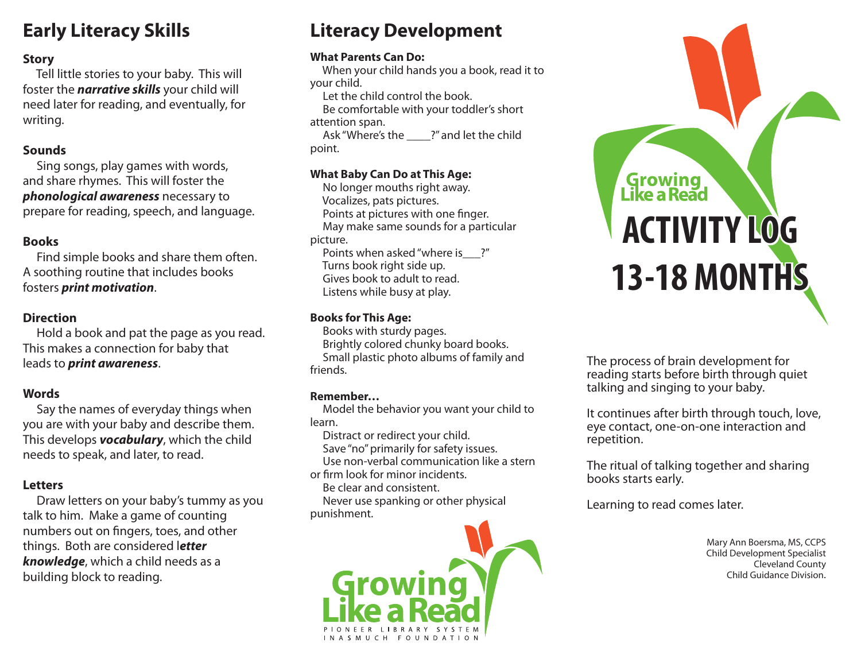# **Early Literacy Skills**

# **Story**

 Tell little stories to your baby. This will foster the *narrative skills* your child will need later for reading, and eventually, for writing.

# **Sounds**

 Sing songs, play games with words, and share rhymes. This will foster the *phonological awareness* necessary to prepare for reading, speech, and language.

# **Books**

 Find simple books and share them often. A soothing routine that includes books fosters *print motivation*.

# **Direction**

 Hold a book and pat the page as you read. This makes a connection for baby that leads to *print awareness*.

# **Words**

 Say the names of everyday things when you are with your baby and describe them. This develops *vocabulary*, which the child needs to speak, and later, to read.

# **Letters**

 Draw letters on your baby's tummy as you talk to him. Make a game of counting numbers out on fingers, toes, and other things. Both are considered l*etter knowledge*, which a child needs as a building block to reading.

# **Literacy Development**

#### **What Parents Can Do:**

 When your child hands you a book, read it to your child.

Let the child control the book.

 Be comfortable with your toddler's short attention span.

 Ask "Where's the \_\_\_\_?" and let the child point.

# **What Baby Can Do at This Age:**

 No longer mouths right away. Vocalizes, pats pictures. Points at pictures with one finger. May make same sounds for a particular picture. Points when asked "where is ?"

 Turns book right side up. Gives book to adult to read. Listens while busy at play.

# **Books for This Age:**

 Books with sturdy pages. Brightly colored chunky board books. Small plastic photo albums of family and friends.

# **Remember…**

 Model the behavior you want your child to learn.

 Distract or redirect your child. Save "no" primarily for safety issues. Use non-verbal communication like a stern

or firm look for minor incidents. Be clear and consistent.

 Never use spanking or other physical punishment.



# Growing<br>Like a Read **ACTIVITY LOG 13-18 MONTHS**

The process of brain development for reading starts before birth through quiet talking and singing to your baby.

It continues after birth through touch, love, eye contact, one-on-one interaction and repetition.

The ritual of talking together and sharing books starts early.

Learning to read comes later.

 Mary Ann Boersma, MS, CCPS Child Development Specialist Cleveland County Child Guidance Division.